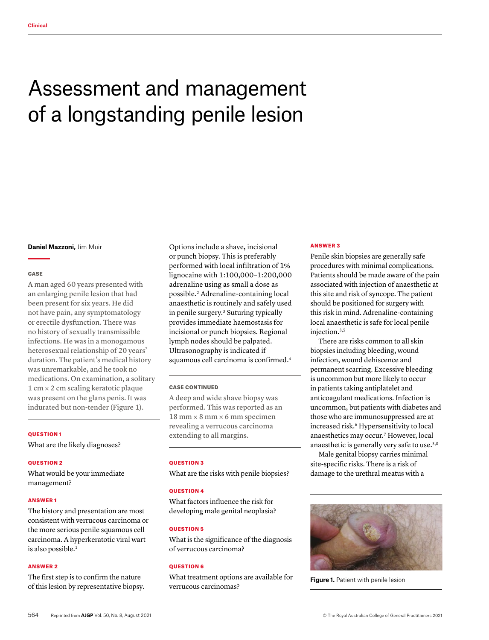# Assessment and management of a longstanding penile lesion

#### **Daniel Mazzoni,** Jim Muir

#### **CASE**

A man aged 60 years presented with an enlarging penile lesion that had been present for six years. He did not have pain, any symptomatology or erectile dysfunction. There was no history of sexually transmissible infections. He was in a monogamous heterosexual relationship of 20 years' duration. The patient's medical history was unremarkable, and he took no medications. On examination, a solitary 1 cm × 2 cm scaling keratotic plaque was present on the glans penis. It was indurated but non-tender (Figure 1).

## QUESTION 1

What are the likely diagnoses?

#### QUESTION 2

What would be your immediate management?

#### ANSWER 1

The history and presentation are most consistent with verrucous carcinoma or the more serious penile squamous cell carcinoma. A hyperkeratotic viral wart is also possible.<sup>1</sup>

## ANSWER 2

The first step is to confirm the nature of this lesion by representative biopsy.

Options include a shave, incisional or punch biopsy. This is preferably performed with local infiltration of 1% lignocaine with 1:100,000–1:200,000 adrenaline using as small a dose as possible.2 Adrenaline-containing local anaesthetic is routinely and safely used in penile surgery.3 Suturing typically provides immediate haemostasis for incisional or punch biopsies. Regional lymph nodes should be palpated. Ultrasonography is indicated if squamous cell carcinoma is confirmed.<sup>4</sup>

## CASE CONTINUED

A deep and wide shave biopsy was performed. This was reported as an  $18$  mm  $\times$  8 mm  $\times$  6 mm specimen revealing a verrucous carcinoma extending to all margins.

## QUESTION 3

What are the risks with penile biopsies?

## **OUESTION 4**

What factors influence the risk for developing male genital neoplasia?

## QUESTION 5

What is the significance of the diagnosis of verrucous carcinoma?

## QUESTION 6

What treatment options are available for verrucous carcinomas?

#### ANSWER 3

Penile skin biopsies are generally safe procedures with minimal complications. Patients should be made aware of the pain associated with injection of anaesthetic at this site and risk of syncope. The patient should be positioned for surgery with this risk in mind. Adrenaline-containing local anaesthetic is safe for local penile injection.<sup>3,5</sup>

There are risks common to all skin biopsies including bleeding, wound infection, wound dehiscence and permanent scarring. Excessive bleeding is uncommon but more likely to occur in patients taking antiplatelet and anticoagulant medications. Infection is uncommon, but patients with diabetes and those who are immunosuppressed are at increased risk.<sup>6</sup> Hypersensitivity to local anaesthetics may occur.7 However, local anaesthetic is generally very safe to use.<sup>3,8</sup>

Male genital biopsy carries minimal site-specific risks. There is a risk of damage to the urethral meatus with a



**Figure 1.** Patient with penile lesion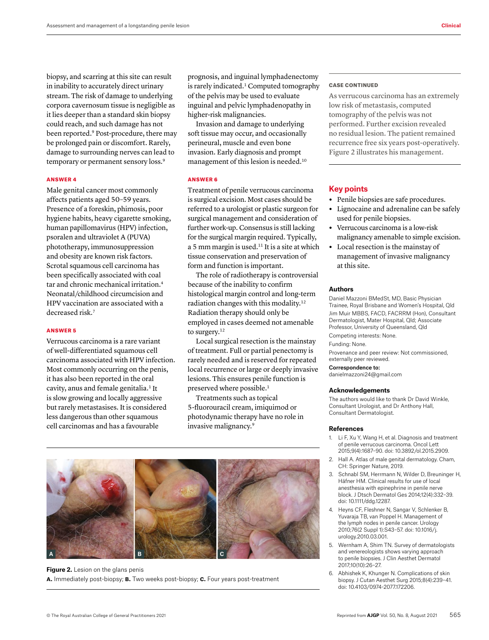biopsy, and scarring at this site can result in inability to accurately direct urinary stream. The risk of damage to underlying corpora cavernosum tissue is negligible as it lies deeper than a standard skin biopsy could reach, and such damage has not been reported.9 Post-procedure, there may be prolonged pain or discomfort. Rarely, damage to surrounding nerves can lead to temporary or permanent sensory loss.9

## ANSWER 4

Male genital cancer most commonly affects patients aged 50–59 years. Presence of a foreskin, phimosis, poor hygiene habits, heavy cigarette smoking, human papillomavirus (HPV) infection, psoralen and ultraviolet A (PUVA) phototherapy, immunosuppression and obesity are known risk factors. Scrotal squamous cell carcinoma has been specifically associated with coal tar and chronic mechanical irritation.4 Neonatal/childhood circumcision and HPV vaccination are associated with a decreased risk.<sup>7</sup>

## ANSWER 5

Verrucous carcinoma is a rare variant of well-differentiated squamous cell carcinoma associated with HPV infection. Most commonly occurring on the penis, it has also been reported in the oral cavity, anus and female genitalia.<sup>1</sup> It is slow growing and locally aggressive but rarely metastasises. It is considered less dangerous than other squamous cell carcinomas and has a favourable

prognosis, and inguinal lymphadenectomy is rarely indicated.<sup>1</sup> Computed tomography of the pelvis may be used to evaluate inguinal and pelvic lymphadenopathy in higher-risk malignancies.

Invasion and damage to underlying soft tissue may occur, and occasionally perineural, muscle and even bone invasion. Early diagnosis and prompt management of this lesion is needed.10

## ANSWER 6

Treatment of penile verrucous carcinoma is surgical excision. Most cases should be referred to a urologist or plastic surgeon for surgical management and consideration of further work-up. Consensus is still lacking for the surgical margin required. Typically, a 5 mm margin is used.11 It is a site at which tissue conservation and preservation of form and function is important.

The role of radiotherapy is controversial because of the inability to confirm histological margin control and long-term radiation changes with this modality.12 Radiation therapy should only be employed in cases deemed not amenable to surgery.<sup>12</sup>

Local surgical resection is the mainstay of treatment. Full or partial penectomy is rarely needed and is reserved for repeated local recurrence or large or deeply invasive lesions. This ensures penile function is preserved where possible.<sup>1</sup>

Treatments such as topical 5-fluorouracil cream, imiquimod or photodynamic therapy have no role in invasive malignancy.9



# **Figure 2.** Lesion on the glans penis **a.** Immediately post-biopsy; **b.** Two weeks post-biopsy; **c.** Four years post-treatment

#### CASE CONTINUED

As verrucous carcinoma has an extremely low risk of metastasis, computed tomography of the pelvis was not performed. Further excision revealed no residual lesion. The patient remained recurrence free six years post-operatively. Figure 2 illustrates his management.

## **Key points**

- **•** Penile biopsies are safe procedures.
- **•** Lignocaine and adrenaline can be safely used for penile biopsies.
- **•** Verrucous carcinoma is a low-risk malignancy amenable to simple excision.
- **•** Local resection is the mainstay of management of invasive malignancy at this site.

#### **Authors**

Daniel Mazzoni BMedSt, MD, Basic Physician Trainee, Royal Brisbane and Women's Hospital, Qld Jim Muir MBBS, FACD, FACRRM (Hon), Consultant Dermatologist, Mater Hospital, Qld; Associate Professor, University of Queensland, Qld

Competing interests: None. Funding: None.

Provenance and peer review: Not commissioned, externally peer reviewed.

Correspondence to: danielmazzoni24@gmail.com

#### **Acknowledgements**

The authors would like to thank Dr David Winkle, Consultant Urologist, and Dr Anthony Hall, Consultant Dermatologist.

## **References**

- 1. Li F, Xu Y, Wang H, et al. Diagnosis and treatment of penile verrucous carcinoma. Oncol Lett 2015;9(4):1687–90. doi: 10.3892/ol.2015.2909.
- 2. Hall A. Atlas of male genital dermatology. Cham, CH: Springer Nature, 2019.
- 3. Schnabl SM, Herrmann N, Wilder D, Breuninger H, Häfner HM. Clinical results for use of local anesthesia with epinephrine in penile nerve block. J Dtsch Dermatol Ges 2014;12(4):332–39. doi: 10.1111/ddg.12287.
- Heyns CF, Fleshner N, Sangar V, Schlenker B, Yuvaraja TB, van Poppel H. Management of the lymph nodes in penile cancer. Urology 2010;76(2 Suppl 1):S43–57. doi: 10.1016/j. urology.2010.03.001.
- 5. Wernham A, Shim TN. Survey of dermatologists and venereologists shows varying approach to penile biopsies. J Clin Aesthet Dermatol 2017;10(10):26–27.
- 6. Abhishek K, Khunger N. Complications of skin biopsy. J Cutan Aesthet Surg 2015;8(4):239–41. doi: 10.4103/0974-2077.172206.